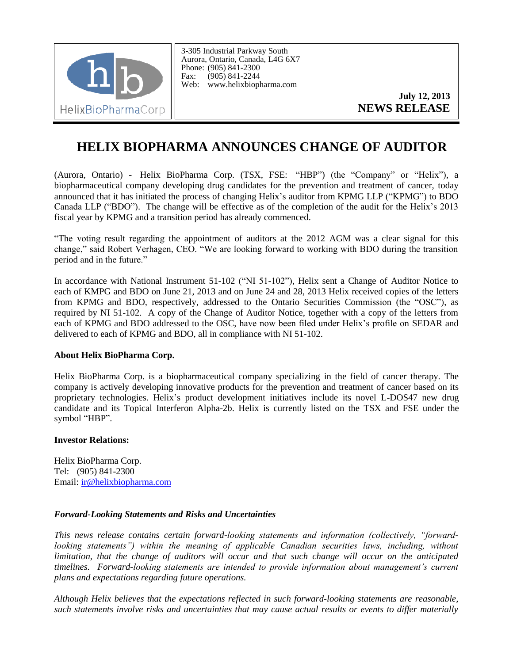

3-305 Industrial Parkway South Aurora, Ontario, Canada, L4G 6X7 Phone: (905) 841-2300 Fax: (905) 841-2244 Web: www.helixbiopharma.com

> **July 12, 2013 NEWS RELEASE**

## **HELIX BIOPHARMA ANNOUNCES CHANGE OF AUDITOR**

(Aurora, Ontario) - Helix BioPharma Corp. (TSX, FSE: "HBP") (the "Company" or "Helix"), a biopharmaceutical company developing drug candidates for the prevention and treatment of cancer, today announced that it has initiated the process of changing Helix's auditor from KPMG LLP ("KPMG") to BDO Canada LLP ("BDO"). The change will be effective as of the completion of the audit for the Helix's 2013 fiscal year by KPMG and a transition period has already commenced.

"The voting result regarding the appointment of auditors at the 2012 AGM was a clear signal for this change," said Robert Verhagen, CEO. "We are looking forward to working with BDO during the transition period and in the future."

In accordance with National Instrument 51-102 ("NI 51-102"), Helix sent a Change of Auditor Notice to each of KMPG and BDO on June 21, 2013 and on June 24 and 28, 2013 Helix received copies of the letters from KPMG and BDO, respectively, addressed to the Ontario Securities Commission (the "OSC"), as required by NI 51-102. A copy of the Change of Auditor Notice, together with a copy of the letters from each of KPMG and BDO addressed to the OSC, have now been filed under Helix's profile on SEDAR and delivered to each of KPMG and BDO, all in compliance with NI 51-102.

## **About Helix BioPharma Corp.**

Helix BioPharma Corp. is a biopharmaceutical company specializing in the field of cancer therapy. The company is actively developing innovative products for the prevention and treatment of cancer based on its proprietary technologies. Helix's product development initiatives include its novel L-DOS47 new drug candidate and its Topical Interferon Alpha-2b. Helix is currently listed on the TSX and FSE under the symbol "HBP".

## **Investor Relations:**

Helix BioPharma Corp. Tel: (905) 841-2300 Email: ir@helixbiopharma.com

## *Forward-Looking Statements and Risks and Uncertainties*

*This news release contains certain forward-looking statements and information (collectively, "forwardlooking statements")* within the meaning of applicable Canadian securities laws, including, without *limitation, that the change of auditors will occur and that such change will occur on the anticipated timelines. Forward-looking statements are intended to provide information about management's current plans and expectations regarding future operations.* 

*Although Helix believes that the expectations reflected in such forward-looking statements are reasonable, such statements involve risks and uncertainties that may cause actual results or events to differ materially*